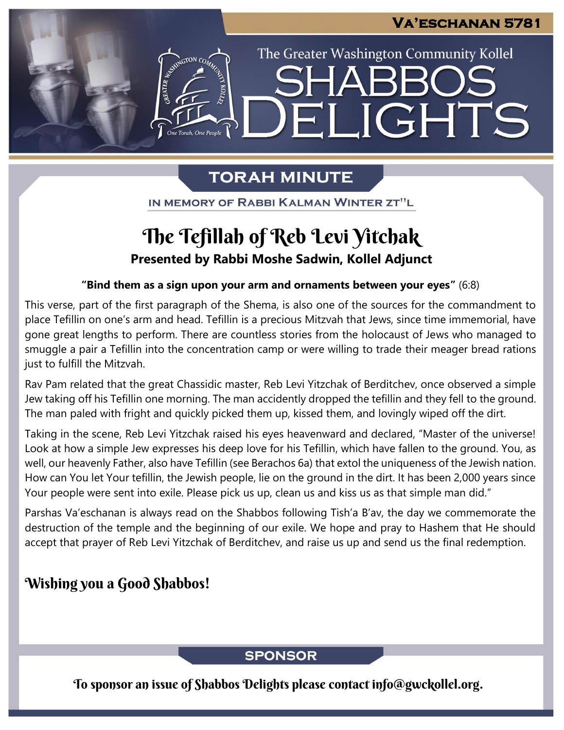LIGHTS

The Greater Washington Community Kollel

# **TORAH MINUTE**

FI

IN MEMORY OF RABBI KALMAN WINTER ZT"L

# The Tefillah of Reb Levi Yitchak

**Presented by Rabbi Moshe Sadwin, Kollel Adjunct**

### **"Bind them as a sign upon your arm and ornaments between your eyes"** (6:8)

This verse, part of the first paragraph of the Shema, is also one of the sources for the commandment to place Tefillin on one's arm and head. Tefillin is a precious Mitzvah that Jews, since time immemorial, have gone great lengths to perform. There are countless stories from the holocaust of Jews who managed to smuggle a pair a Tefillin into the concentration camp or were willing to trade their meager bread rations just to fulfill the Mitzvah.

Rav Pam related that the great Chassidic master, Reb Levi Yitzchak of Berditchev, once observed a simple Jew taking off his Tefillin one morning. The man accidently dropped the tefillin and they fell to the ground. The man paled with fright and quickly picked them up, kissed them, and lovingly wiped off the dirt.

Taking in the scene, Reb Levi Yitzchak raised his eyes heavenward and declared, "Master of the universe! Look at how a simple Jew expresses his deep love for his Tefillin, which have fallen to the ground. You, as well, our heavenly Father, also have Tefillin (see Berachos 6a) that extol the uniqueness of the Jewish nation. How can You let Your tefillin, the Jewish people, lie on the ground in the dirt. It has been 2,000 years since Your people were sent into exile. Please pick us up, clean us and kiss us as that simple man did."

Parshas Va'eschanan is always read on the Shabbos following Tish'a B'av, the day we commemorate the destruction of the temple and the beginning of our exile. We hope and pray to Hashem that He should accept that prayer of Reb Levi Yitzchak of Berditchev, and raise us up and send us the final redemption.

# Wishing you a Good Shabbos!

### **SPONSOR**

To sponsor an issue of Shabbos Delights please contact info@gwckollel.org.